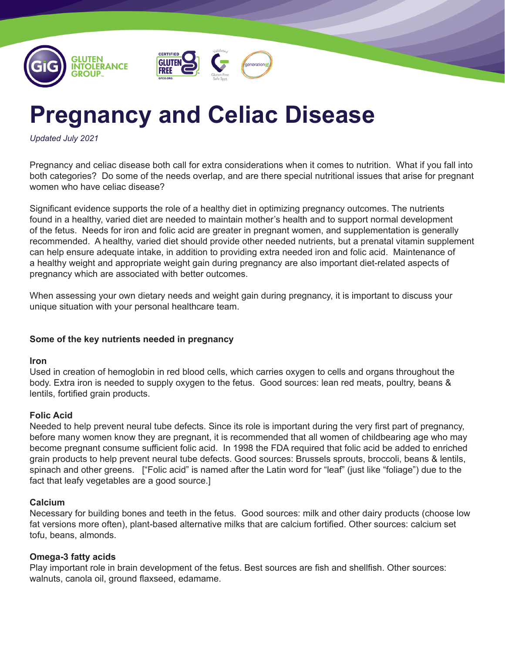



# **Pregnancy and Celiac Disease**

*Updated July 2021*

Pregnancy and celiac disease both call for extra considerations when it comes to nutrition. What if you fall into both categories? Do some of the needs overlap, and are there special nutritional issues that arise for pregnant women who have celiac disease?

Significant evidence supports the role of a healthy diet in optimizing pregnancy outcomes. The nutrients found in a healthy, varied diet are needed to maintain mother's health and to support normal development of the fetus. Needs for iron and folic acid are greater in pregnant women, and supplementation is generally recommended. A healthy, varied diet should provide other needed nutrients, but a prenatal vitamin supplement can help ensure adequate intake, in addition to providing extra needed iron and folic acid. Maintenance of a healthy weight and appropriate weight gain during pregnancy are also important diet-related aspects of pregnancy which are associated with better outcomes.

When assessing your own dietary needs and weight gain during pregnancy, it is important to discuss your unique situation with your personal healthcare team.

## **Some of the key nutrients needed in pregnancy**

### **Iron**

Used in creation of hemoglobin in red blood cells, which carries oxygen to cells and organs throughout the body. Extra iron is needed to supply oxygen to the fetus. Good sources: lean red meats, poultry, beans & lentils, fortified grain products.

## **Folic Acid**

Needed to help prevent neural tube defects. Since its role is important during the very first part of pregnancy, before many women know they are pregnant, it is recommended that all women of childbearing age who may become pregnant consume sufficient folic acid. In 1998 the FDA required that folic acid be added to enriched grain products to help prevent neural tube defects. Good sources: Brussels sprouts, broccoli, beans & lentils, spinach and other greens. ["Folic acid" is named after the Latin word for "leaf" (just like "foliage") due to the fact that leafy vegetables are a good source.]

## **Calcium**

Necessary for building bones and teeth in the fetus. Good sources: milk and other dairy products (choose low fat versions more often), plant-based alternative milks that are calcium fortified. Other sources: calcium set tofu, beans, almonds.

# **Omega-3 fatty acids**

Play important role in brain development of the fetus. Best sources are fish and shellfish. Other sources: walnuts, canola oil, ground flaxseed, edamame.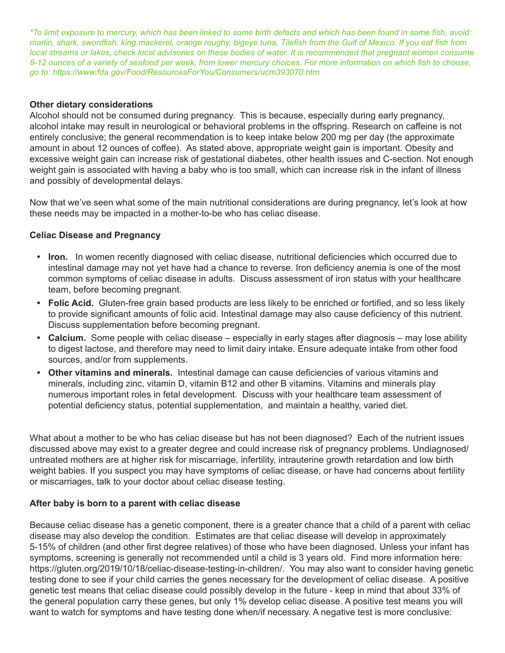*\*To limit exposure to mercury, which has been linked to some birth defects and which has been found in some fish, avoid: marlin, shark, swordfish, king mackerel, orange roughy, bigeye tuna, Tilefish from the Gulf of Mexico. If you eat fish from local streams or lakes, check local advisories on these bodies of water. It is recommended that pregnant women consume 8-12 ounces of a variety of seafood per week, from lower mercury choices. For more information on which fish to choose, go to: https://www.fda.gov/Food/ResourcesForYou/Consumers/ucm393070.htm*

## **Other dietary considerations**

Alcohol should not be consumed during pregnancy. This is because, especially during early pregnancy, alcohol intake may result in neurological or behavioral problems in the offspring. Research on caffeine is not entirely conclusive; the general recommendation is to keep intake below 200 mg per day (the approximate amount in about 12 ounces of coffee). As stated above, appropriate weight gain is important. Obesity and excessive weight gain can increase risk of gestational diabetes, other health issues and C-section. Not enough weight gain is associated with having a baby who is too small, which can increase risk in the infant of illness and possibly of developmental delays.

Now that we've seen what some of the main nutritional considerations are during pregnancy, let's look at how these needs may be impacted in a mother-to-be who has celiac disease.

## **Celiac Disease and Pregnancy**

- **• Iron.** In women recently diagnosed with celiac disease, nutritional deficiencies which occurred due to intestinal damage may not yet have had a chance to reverse. Iron deficiency anemia is one of the most common symptoms of celiac disease in adults. Discuss assessment of iron status with your healthcare team, before becoming pregnant.
- **• Folic Acid.** Gluten-free grain based products are less likely to be enriched or fortified, and so less likely to provide significant amounts of folic acid. Intestinal damage may also cause deficiency of this nutrient. Discuss supplementation before becoming pregnant.
- **• Calcium.** Some people with celiac disease especially in early stages after diagnosis may lose ability to digest lactose, and therefore may need to limit dairy intake. Ensure adequate intake from other food sources, and/or from supplements.
- **• Other vitamins and minerals.** Intestinal damage can cause deficiencies of various vitamins and minerals, including zinc, vitamin D, vitamin B12 and other B vitamins. Vitamins and minerals play numerous important roles in fetal development. Discuss with your healthcare team assessment of potential deficiency status, potential supplementation, and maintain a healthy, varied diet.

What about a mother to be who has celiac disease but has not been diagnosed? Each of the nutrient issues discussed above may exist to a greater degree and could increase risk of pregnancy problems. Undiagnosed/ untreated mothers are at higher risk for miscarriage, infertility, intrauterine growth retardation and low birth weight babies. If you suspect you may have symptoms of celiac disease, or have had concerns about fertility or miscarriages, talk to your doctor about celiac disease testing.

## **After baby is born to a parent with celiac disease**

Because celiac disease has a genetic component, there is a greater chance that a child of a parent with celiac disease may also develop the condition. Estimates are that celiac disease will develop in approximately 5-15% of children (and other first degree relatives) of those who have been diagnosed. Unless your infant has symptoms, screening is generally not recommended until a child is 3 years old. Find more information here: https://gluten.org/2019/10/18/celiac-disease-testing-in-children/. You may also want to consider having genetic testing done to see if your child carries the genes necessary for the development of celiac disease. A positive genetic test means that celiac disease could possibly develop in the future - keep in mind that about 33% of the general population carry these genes, but only 1% develop celiac disease. A positive test means you will want to watch for symptoms and have testing done when/if necessary. A negative test is more conclusive: